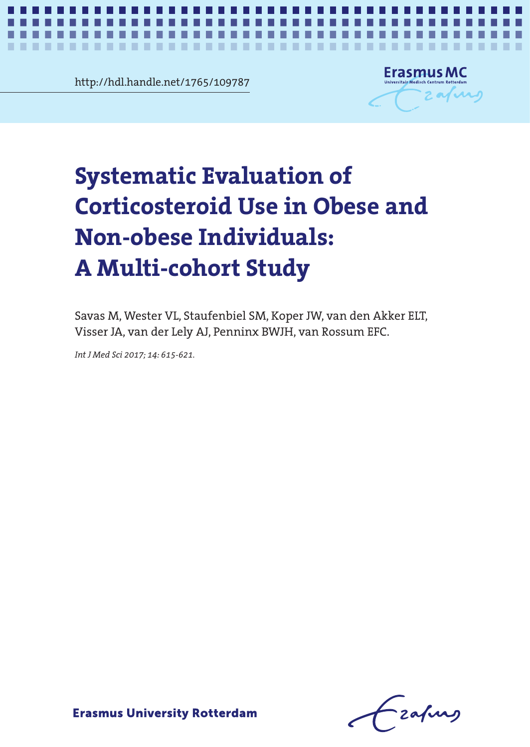http://hdl.handle.net/1765/109787

..................



*Corticosteroid use in obesity* **1**

## iatic Evaluation of<br>)steroid Use in Obese and<br>2000 Individuals: Corticosteroid Use in Obese and **Corticosteroid Use in Obese and**  Non-obese Individuals: **Non-obese Individuals:** A Multi-cohort Study **A Multi-cohort Study Systematic Evaluation of**

Savas M, Wester VL, Staufenbiel SM, Koper JW, van den Akker ELT, Visser JA, van der Lely AJ, Penninx BWJH, van Rossum EFC.

Savas M, Wester VL, Staufenbiel SM, Koper JW, van den Akker

*Int J Med Sci 2017; 14: 615-621.* 

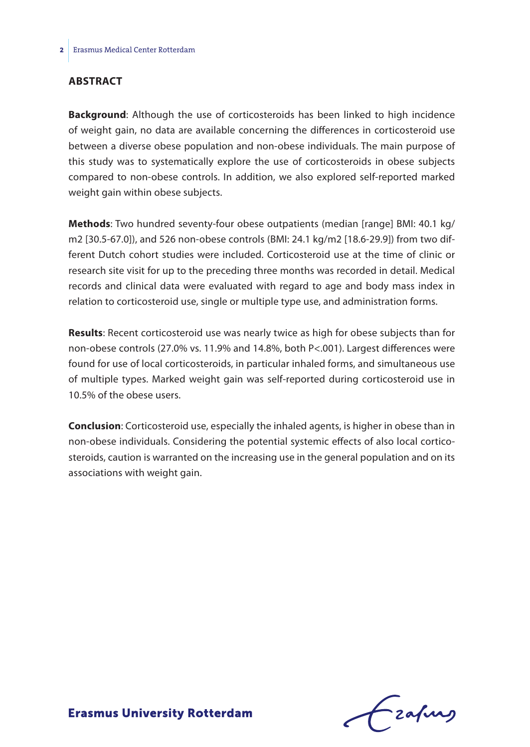## **Abstract**

**Background**: Although the use of corticosteroids has been linked to high incidence of weight gain, no data are available concerning the differences in corticosteroid use between a diverse obese population and non-obese individuals. The main purpose of this study was to systematically explore the use of corticosteroids in obese subjects compared to non-obese controls. In addition, we also explored self-reported marked weight gain within obese subjects.

**Methods**: Two hundred seventy-four obese outpatients (median [range] BMI: 40.1 kg/ m2 [30.5-67.0]), and 526 non-obese controls (BMI: 24.1 kg/m2 [18.6-29.9]) from two different Dutch cohort studies were included. Corticosteroid use at the time of clinic or research site visit for up to the preceding three months was recorded in detail. Medical records and clinical data were evaluated with regard to age and body mass index in relation to corticosteroid use, single or multiple type use, and administration forms.

**Results**: Recent corticosteroid use was nearly twice as high for obese subjects than for non-obese controls (27.0% vs. 11.9% and 14.8%, both P<.001). Largest differences were found for use of local corticosteroids, in particular inhaled forms, and simultaneous use of multiple types. Marked weight gain was self-reported during corticosteroid use in 10.5% of the obese users.

**Conclusion**: Corticosteroid use, especially the inhaled agents, is higher in obese than in non-obese individuals. Considering the potential systemic effects of also local corticosteroids, caution is warranted on the increasing use in the general population and on its associations with weight gain.

Lzafurg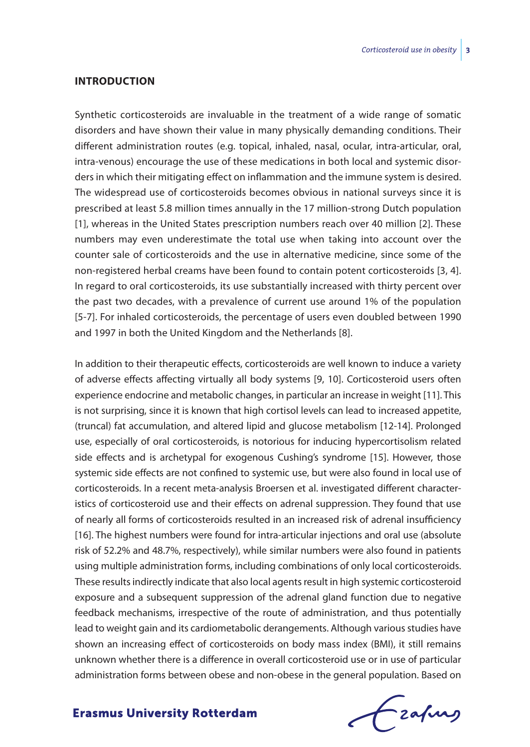### **Introduction**

Synthetic corticosteroids are invaluable in the treatment of a wide range of somatic disorders and have shown their value in many physically demanding conditions. Their different administration routes (e.g. topical, inhaled, nasal, ocular, intra-articular, oral, intra-venous) encourage the use of these medications in both local and systemic disorders in which their mitigating effect on inflammation and the immune system is desired. The widespread use of corticosteroids becomes obvious in national surveys since it is prescribed at least 5.8 million times annually in the 17 million-strong Dutch population [1], whereas in the United States prescription numbers reach over 40 million [2]. These numbers may even underestimate the total use when taking into account over the counter sale of corticosteroids and the use in alternative medicine, since some of the non-registered herbal creams have been found to contain potent corticosteroids [3, 4]. In regard to oral corticosteroids, its use substantially increased with thirty percent over the past two decades, with a prevalence of current use around 1% of the population [5-7]. For inhaled corticosteroids, the percentage of users even doubled between 1990 and 1997 in both the United Kingdom and the Netherlands [8].

In addition to their therapeutic effects, corticosteroids are well known to induce a variety of adverse effects affecting virtually all body systems [9, 10]. Corticosteroid users often experience endocrine and metabolic changes, in particular an increase in weight [11]. This is not surprising, since it is known that high cortisol levels can lead to increased appetite, (truncal) fat accumulation, and altered lipid and glucose metabolism [12-14]. Prolonged use, especially of oral corticosteroids, is notorious for inducing hypercortisolism related side effects and is archetypal for exogenous Cushing's syndrome [15]. However, those systemic side effects are not confined to systemic use, but were also found in local use of corticosteroids. In a recent meta-analysis Broersen et al. investigated different characteristics of corticosteroid use and their effects on adrenal suppression. They found that use of nearly all forms of corticosteroids resulted in an increased risk of adrenal insufficiency [16]. The highest numbers were found for intra-articular injections and oral use (absolute risk of 52.2% and 48.7%, respectively), while similar numbers were also found in patients using multiple administration forms, including combinations of only local corticosteroids. These results indirectly indicate that also local agents result in high systemic corticosteroid exposure and a subsequent suppression of the adrenal gland function due to negative feedback mechanisms, irrespective of the route of administration, and thus potentially lead to weight gain and its cardiometabolic derangements. Although various studies have shown an increasing effect of corticosteroids on body mass index (BMI), it still remains unknown whether there is a difference in overall corticosteroid use or in use of particular administration forms between obese and non-obese in the general population. Based on

frafing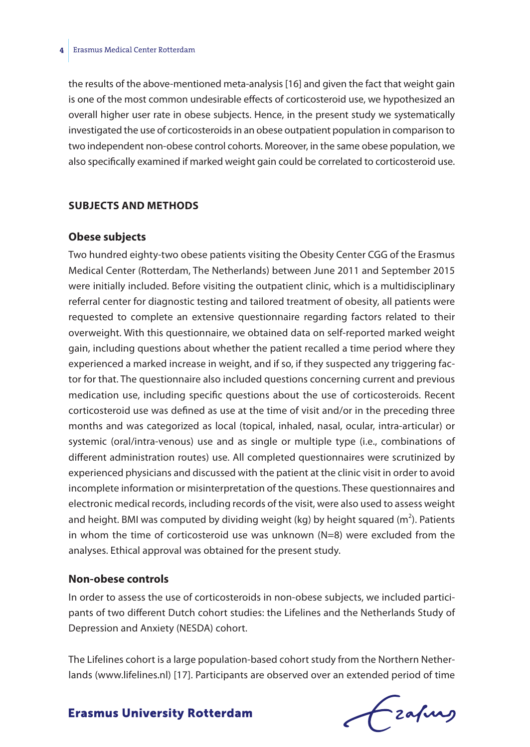the results of the above-mentioned meta-analysis [16] and given the fact that weight gain is one of the most common undesirable effects of corticosteroid use, we hypothesized an overall higher user rate in obese subjects. Hence, in the present study we systematically investigated the use of corticosteroids in an obese outpatient population in comparison to two independent non-obese control cohorts. Moreover, in the same obese population, we also specifically examined if marked weight gain could be correlated to corticosteroid use.

#### **Subjects and Methods**

## **Obese subjects**

Two hundred eighty-two obese patients visiting the Obesity Center CGG of the Erasmus Medical Center (Rotterdam, The Netherlands) between June 2011 and September 2015 were initially included. Before visiting the outpatient clinic, which is a multidisciplinary referral center for diagnostic testing and tailored treatment of obesity, all patients were requested to complete an extensive questionnaire regarding factors related to their overweight. With this questionnaire, we obtained data on self-reported marked weight gain, including questions about whether the patient recalled a time period where they experienced a marked increase in weight, and if so, if they suspected any triggering factor for that. The questionnaire also included questions concerning current and previous medication use, including specific questions about the use of corticosteroids. Recent corticosteroid use was defined as use at the time of visit and/or in the preceding three months and was categorized as local (topical, inhaled, nasal, ocular, intra-articular) or systemic (oral/intra-venous) use and as single or multiple type (i.e., combinations of different administration routes) use. All completed questionnaires were scrutinized by experienced physicians and discussed with the patient at the clinic visit in order to avoid incomplete information or misinterpretation of the questions. These questionnaires and electronic medical records, including records of the visit, were also used to assess weight and height. BMI was computed by dividing weight (kg) by height squared (m<sup>2</sup>). Patients in whom the time of corticosteroid use was unknown (N=8) were excluded from the analyses. Ethical approval was obtained for the present study.

## **Non-obese controls**

In order to assess the use of corticosteroids in non-obese subjects, we included participants of two different Dutch cohort studies: the Lifelines and the Netherlands Study of Depression and Anxiety (NESDA) cohort.

The Lifelines cohort is a large population-based cohort study from the Northern Netherlands (www.lifelines.nl) [17]. Participants are observed over an extended period of time

# frafing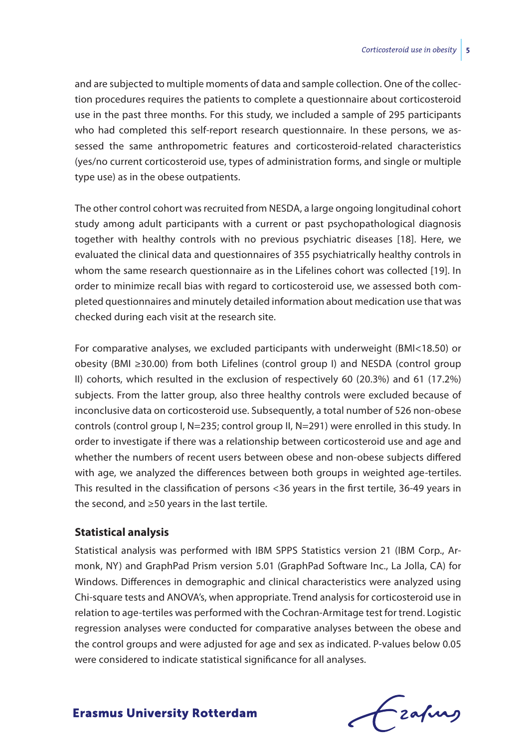and are subjected to multiple moments of data and sample collection. One of the collection procedures requires the patients to complete a questionnaire about corticosteroid use in the past three months. For this study, we included a sample of 295 participants who had completed this self-report research questionnaire. In these persons, we assessed the same anthropometric features and corticosteroid-related characteristics (yes/no current corticosteroid use, types of administration forms, and single or multiple type use) as in the obese outpatients.

The other control cohort was recruited from NESDA, a large ongoing longitudinal cohort study among adult participants with a current or past psychopathological diagnosis together with healthy controls with no previous psychiatric diseases [18]. Here, we evaluated the clinical data and questionnaires of 355 psychiatrically healthy controls in whom the same research questionnaire as in the Lifelines cohort was collected [19]. In order to minimize recall bias with regard to corticosteroid use, we assessed both completed questionnaires and minutely detailed information about medication use that was checked during each visit at the research site.

For comparative analyses, we excluded participants with underweight (BMI<18.50) or obesity (BMI ≥30.00) from both Lifelines (control group I) and NESDA (control group II) cohorts, which resulted in the exclusion of respectively 60 (20.3%) and 61 (17.2%) subjects. From the latter group, also three healthy controls were excluded because of inconclusive data on corticosteroid use. Subsequently, a total number of 526 non-obese controls (control group I, N=235; control group II, N=291) were enrolled in this study. In order to investigate if there was a relationship between corticosteroid use and age and whether the numbers of recent users between obese and non-obese subjects differed with age, we analyzed the differences between both groups in weighted age-tertiles. This resulted in the classification of persons <36 years in the first tertile, 36-49 years in the second, and ≥50 years in the last tertile.

## **Statistical analysis**

Statistical analysis was performed with IBM SPPS Statistics version 21 (IBM Corp., Armonk, NY) and GraphPad Prism version 5.01 (GraphPad Software Inc., La Jolla, CA) for Windows. Differences in demographic and clinical characteristics were analyzed using Chi-square tests and ANOVA's, when appropriate. Trend analysis for corticosteroid use in relation to age-tertiles was performed with the Cochran-Armitage test for trend. Logistic regression analyses were conducted for comparative analyses between the obese and the control groups and were adjusted for age and sex as indicated. P-values below 0.05 were considered to indicate statistical significance for all analyses.

frafing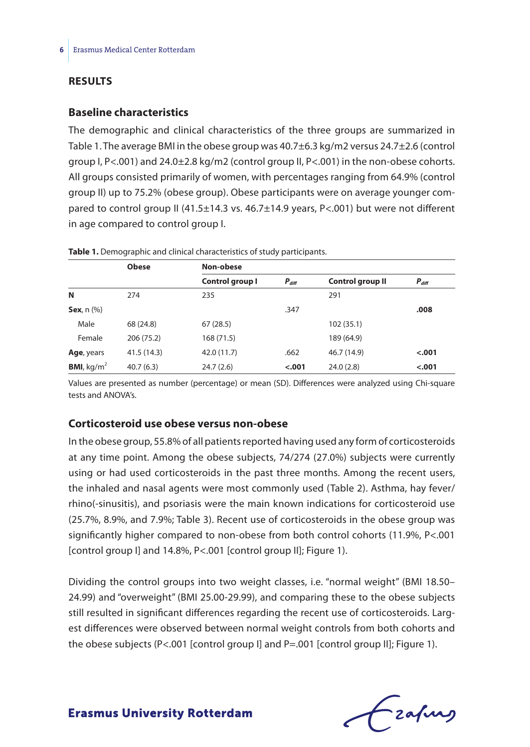## **Results**

## **Baseline characteristics**

The demographic and clinical characteristics of the three groups are summarized in Table 1. The average BMI in the obese group was 40.7±6.3 kg/m2 versus 24.7±2.6 (control group I, P<.001) and 24.0±2.8 kg/m2 (control group II, P<.001) in the non-obese cohorts. All groups consisted primarily of women, with percentages ranging from 64.9% (control group II) up to 75.2% (obese group). Obese participants were on average younger compared to control group II (41.5±14.3 vs. 46.7±14.9 years, P<.001) but were not different in age compared to control group I.

|                                | <b>Obese</b> | Non-obese       |            |                  |            |  |  |
|--------------------------------|--------------|-----------------|------------|------------------|------------|--|--|
|                                |              | Control group I | $P_{diff}$ | Control group II | $P_{diff}$ |  |  |
| N                              | 274          | 235             |            | 291              |            |  |  |
| Sex, $n$ $(\%)$                |              |                 | .347       |                  | .008       |  |  |
| Male                           | 68 (24.8)    | 67(28.5)        |            | 102(35.1)        |            |  |  |
| Female                         | 206 (75.2)   | 168(71.5)       |            | 189 (64.9)       |            |  |  |
| Age, years                     | 41.5(14.3)   | 42.0 (11.7)     | .662       | 46.7 (14.9)      | $-.001$    |  |  |
| <b>BMI</b> , kg/m <sup>2</sup> | 40.7(6.3)    | 24.7(2.6)       | $-.001$    | 24.0(2.8)        | $-.001$    |  |  |

**Table 1.** Demographic and clinical characteristics of study participants.

Values are presented as number (percentage) or mean (SD). Differences were analyzed using Chi-square tests and ANOVA's.

## **Corticosteroid use obese versus non-obese**

In the obese group, 55.8% of all patients reported having used any form of corticosteroids at any time point. Among the obese subjects, 74/274 (27.0%) subjects were currently using or had used corticosteroids in the past three months. Among the recent users, the inhaled and nasal agents were most commonly used (Table 2). Asthma, hay fever/ rhino(-sinusitis), and psoriasis were the main known indications for corticosteroid use (25.7%, 8.9%, and 7.9%; Table 3). Recent use of corticosteroids in the obese group was significantly higher compared to non-obese from both control cohorts (11.9%, P<.001 [control group I] and 14.8%, P<.001 [control group II]; Figure 1).

Dividing the control groups into two weight classes, i.e. "normal weight" (BMI 18.50– 24.99) and "overweight" (BMI 25.00-29.99), and comparing these to the obese subjects still resulted in significant differences regarding the recent use of corticosteroids. Largest differences were observed between normal weight controls from both cohorts and the obese subjects (P<.001 [control group I] and P=.001 [control group II]; Figure 1).

Czapurs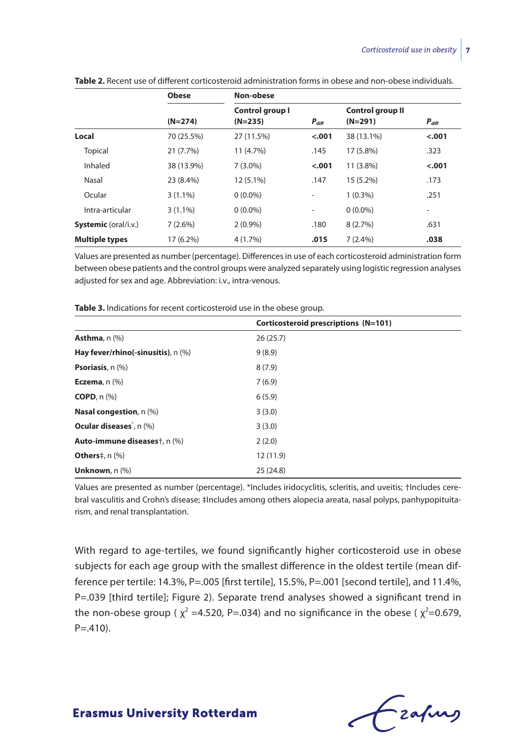|                             | <b>Obese</b> | Non-obese       |                          |                         |                          |  |
|-----------------------------|--------------|-----------------|--------------------------|-------------------------|--------------------------|--|
|                             |              | Control group I |                          | <b>Control group II</b> |                          |  |
|                             | $(N=274)$    | $(N=235)$       | $P_{diff}$               | $(N=291)$               | $P_{diff}$               |  |
| Local                       | 70 (25.5%)   | 27 (11.5%)      | $-.001$                  | 38 (13.1%)              | $-.001$                  |  |
| <b>Topical</b>              | 21 (7.7%)    | 11 (4.7%)       | .145                     | 17 (5.8%)               | .323                     |  |
| Inhaled                     | 38 (13.9%)   | $7(3.0\%)$      | $-.001$                  | 11 (3.8%)               | $-.001$                  |  |
| Nasal                       | 23 (8.4%)    | 12 (5.1%)       | .147                     | 15 (5.2%)               | .173                     |  |
| Ocular                      | $3(1.1\%)$   | $0(0.0\%)$      | -                        | $1(0.3\%)$              | .251                     |  |
| Intra-articular             | $3(1.1\%)$   | $0(0.0\%)$      | $\overline{\phantom{a}}$ | $0(0.0\%)$              | $\overline{\phantom{a}}$ |  |
| <b>Systemic</b> (oral/i.v.) | $7(2.6\%)$   | $2(0.9\%)$      | .180                     | 8(2.7%)                 | .631                     |  |
| <b>Multiple types</b>       | $17(6.2\%)$  | 4(1.7%)         | .015                     | $7(2.4\%)$              | .038                     |  |

**Table 2.** Recent use of different corticosteroid administration forms in obese and non-obese individuals.

Values are presented as number (percentage). Differences in use of each corticosteroid administration form between obese patients and the control groups were analyzed separately using logistic regression analyses adjusted for sex and age. Abbreviation: i.v., intra-venous.

|                                           | Corticosteroid prescriptions (N=101) |
|-------------------------------------------|--------------------------------------|
| Asthma, $n$ $(\%)$                        | 26(25.7)                             |
| Hay fever/rhino(-sinusitis), n (%)        | 9(8.9)                               |
| <b>Psoriasis</b> , $n$ $(\%)$             | 8(7.9)                               |
| Eczema, $n$ $(\%)$                        | 7(6.9)                               |
| $COPD$ , n $(\%)$                         | 6(5.9)                               |
| <b>Nasal congestion</b> , $n$ (%)         | 3(3.0)                               |
| Ocular diseases <sup>*</sup> , n (%)      | 3(3.0)                               |
| Auto-immune diseases <sup>+</sup> , n (%) | 2(2.0)                               |
| <b>Others</b> ‡, n (%)                    | 12 (11.9)                            |
| Unknown, $n$ $(\%)$                       | 25(24.8)                             |

**Table 3.** Indications for recent corticosteroid use in the obese group.

Values are presented as number (percentage). \*Includes iridocyclitis, scleritis, and uveitis; †Includes cerebral vasculitis and Crohn's disease; ‡Includes among others alopecia areata, nasal polyps, panhypopituitarism, and renal transplantation.

With regard to age-tertiles, we found significantly higher corticosteroid use in obese subjects for each age group with the smallest difference in the oldest tertile (mean difference per tertile: 14.3%, P=.005 [first tertile], 15.5%, P=.001 [second tertile], and 11.4%, P=.039 [third tertile]; Figure 2). Separate trend analyses showed a significant trend in the non-obese group ( $\chi^2$  =4.520, P=.034) and no significance in the obese ( $\chi^2$ =0.679,  $P = .410$ .

Czafing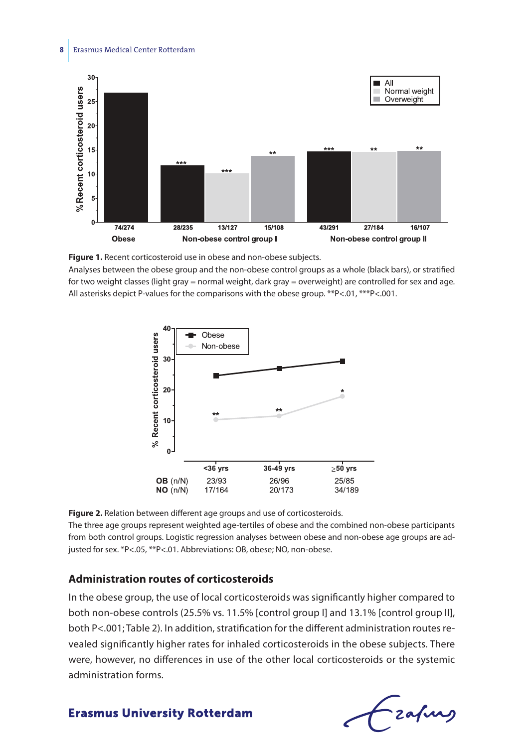#### **8** Erasmus Medical Center Rotterdam



**Figure 1.** Recent corticosteroid use in obese and non-obese subjects.

Analyses between the obese group and the non-obese control groups as a whole (black bars), or stratified for two weight classes (light gray = normal weight, dark gray = overweight) are controlled for sex and age. All asterisks depict P-values for the comparisons with the obese group. \*\*P<.01, \*\*\*P<.001.



**Figure 2.** Relation between different age groups and use of corticosteroids.

The three age groups represent weighted age-tertiles of obese and the combined non-obese participants from both control groups. Logistic regression analyses between obese and non-obese age groups are adjusted for sex. \*P<.05, \*\*P<.01. Abbreviations: OB, obese; NO, non-obese.

## **Administration routes of corticosteroids**

In the obese group, the use of local corticosteroids was significantly higher compared to both non-obese controls (25.5% vs. 11.5% [control group I] and 13.1% [control group II], both P<.001; Table 2). In addition, stratification for the different administration routes revealed significantly higher rates for inhaled corticosteroids in the obese subjects. There were, however, no differences in use of the other local corticosteroids or the systemic administration forms.

Lzafurg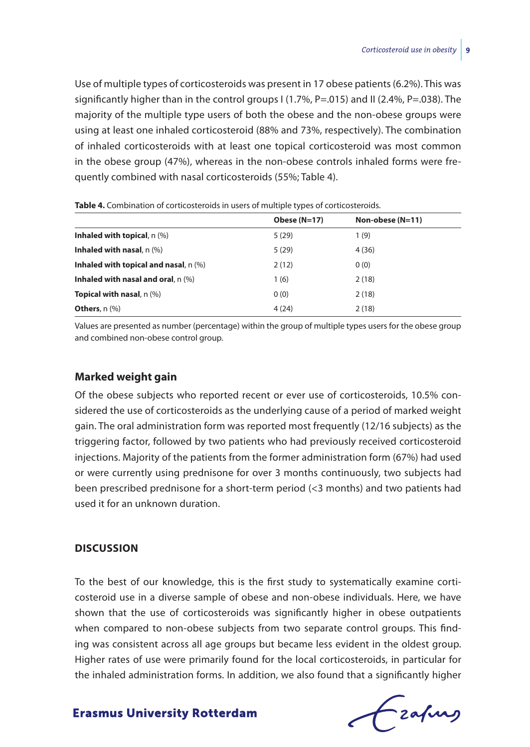Use of multiple types of corticosteroids was present in 17 obese patients (6.2%). This was significantly higher than in the control groups  $1(1.7\% , P=.015)$  and II (2.4%, P=.038). The majority of the multiple type users of both the obese and the non-obese groups were using at least one inhaled corticosteroid (88% and 73%, respectively). The combination of inhaled corticosteroids with at least one topical corticosteroid was most common in the obese group (47%), whereas in the non-obese controls inhaled forms were frequently combined with nasal corticosteroids (55%; Table 4).

|                                       | Obese (N=17) | Non-obese $(N=11)$ |
|---------------------------------------|--------------|--------------------|
| Inhaled with topical, $n$ (%)         | 5(29)        | 1(9)               |
| Inhaled with nasal, $n$ $(\%)$        | 5(29)        | 4(36)              |
| Inhaled with topical and nasal, n (%) | 2(12)        | 0(0)               |
| Inhaled with nasal and oral, $n$ (%)  | 1(6)         | 2(18)              |
| <b>Topical with nasal</b> , $n$ $%$   | 0(0)         | 2(18)              |
| <b>Others</b> , $n$ $%$               | 4(24)        | 2(18)              |

**Table 4.** Combination of corticosteroids in users of multiple types of corticosteroids.

Values are presented as number (percentage) within the group of multiple types users for the obese group and combined non-obese control group.

## **Marked weight gain**

Of the obese subjects who reported recent or ever use of corticosteroids, 10.5% considered the use of corticosteroids as the underlying cause of a period of marked weight gain. The oral administration form was reported most frequently (12/16 subjects) as the triggering factor, followed by two patients who had previously received corticosteroid injections. Majority of the patients from the former administration form (67%) had used or were currently using prednisone for over 3 months continuously, two subjects had been prescribed prednisone for a short-term period (<3 months) and two patients had used it for an unknown duration.

### **Discussion**

To the best of our knowledge, this is the first study to systematically examine corticosteroid use in a diverse sample of obese and non-obese individuals. Here, we have shown that the use of corticosteroids was significantly higher in obese outpatients when compared to non-obese subjects from two separate control groups. This finding was consistent across all age groups but became less evident in the oldest group. Higher rates of use were primarily found for the local corticosteroids, in particular for the inhaled administration forms. In addition, we also found that a significantly higher

Czafing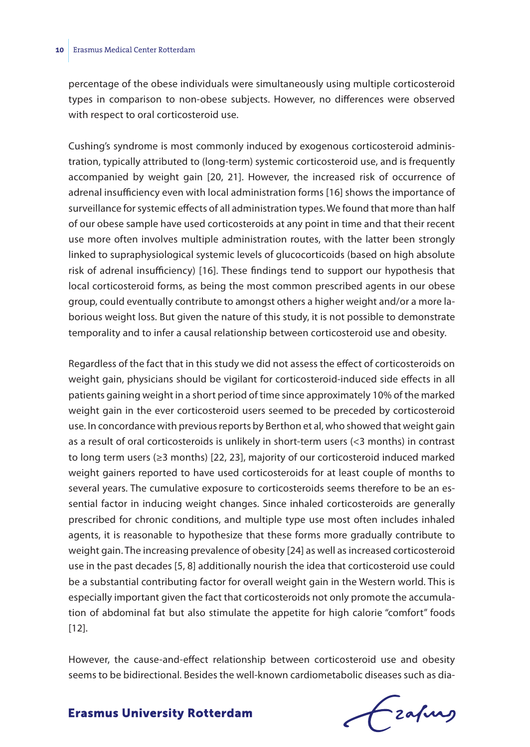percentage of the obese individuals were simultaneously using multiple corticosteroid types in comparison to non-obese subjects. However, no differences were observed with respect to oral corticosteroid use.

Cushing's syndrome is most commonly induced by exogenous corticosteroid administration, typically attributed to (long-term) systemic corticosteroid use, and is frequently accompanied by weight gain [20, 21]. However, the increased risk of occurrence of adrenal insufficiency even with local administration forms [16] shows the importance of surveillance for systemic effects of all administration types. We found that more than half of our obese sample have used corticosteroids at any point in time and that their recent use more often involves multiple administration routes, with the latter been strongly linked to supraphysiological systemic levels of glucocorticoids (based on high absolute risk of adrenal insufficiency) [16]. These findings tend to support our hypothesis that local corticosteroid forms, as being the most common prescribed agents in our obese group, could eventually contribute to amongst others a higher weight and/or a more laborious weight loss. But given the nature of this study, it is not possible to demonstrate temporality and to infer a causal relationship between corticosteroid use and obesity.

Regardless of the fact that in this study we did not assess the effect of corticosteroids on weight gain, physicians should be vigilant for corticosteroid-induced side effects in all patients gaining weight in a short period of time since approximately 10% of the marked weight gain in the ever corticosteroid users seemed to be preceded by corticosteroid use. In concordance with previous reports by Berthon et al, who showed that weight gain as a result of oral corticosteroids is unlikely in short-term users (<3 months) in contrast to long term users (≥3 months) [22, 23], majority of our corticosteroid induced marked weight gainers reported to have used corticosteroids for at least couple of months to several years. The cumulative exposure to corticosteroids seems therefore to be an essential factor in inducing weight changes. Since inhaled corticosteroids are generally prescribed for chronic conditions, and multiple type use most often includes inhaled agents, it is reasonable to hypothesize that these forms more gradually contribute to weight gain. The increasing prevalence of obesity [24] as well as increased corticosteroid use in the past decades [5, 8] additionally nourish the idea that corticosteroid use could be a substantial contributing factor for overall weight gain in the Western world. This is especially important given the fact that corticosteroids not only promote the accumulation of abdominal fat but also stimulate the appetite for high calorie "comfort" foods [12].

However, the cause-and-effect relationship between corticosteroid use and obesity seems to be bidirectional. Besides the well-known cardiometabolic diseases such as dia-

frafing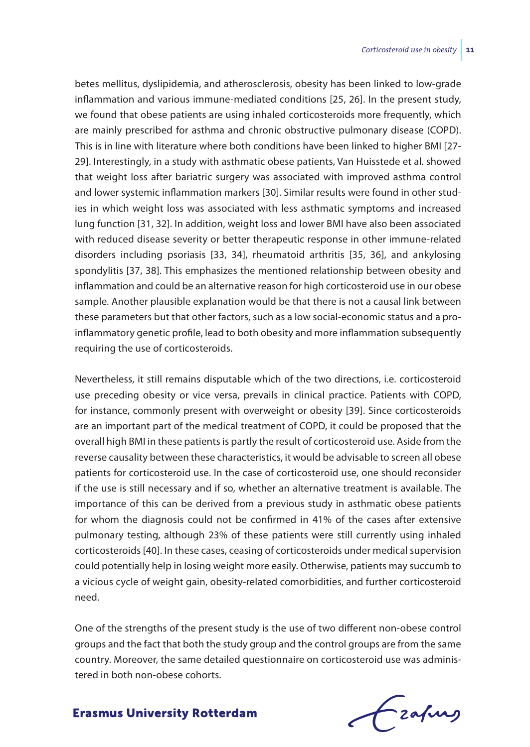betes mellitus, dyslipidemia, and atherosclerosis, obesity has been linked to low-grade inflammation and various immune-mediated conditions [25, 26]. In the present study, we found that obese patients are using inhaled corticosteroids more frequently, which are mainly prescribed for asthma and chronic obstructive pulmonary disease (COPD). This is in line with literature where both conditions have been linked to higher BMI [27- 29]. Interestingly, in a study with asthmatic obese patients, Van Huisstede et al. showed that weight loss after bariatric surgery was associated with improved asthma control and lower systemic inflammation markers [30]. Similar results were found in other studies in which weight loss was associated with less asthmatic symptoms and increased lung function [31, 32]. In addition, weight loss and lower BMI have also been associated with reduced disease severity or better therapeutic response in other immune-related disorders including psoriasis [33, 34], rheumatoid arthritis [35, 36], and ankylosing spondylitis [37, 38]. This emphasizes the mentioned relationship between obesity and inflammation and could be an alternative reason for high corticosteroid use in our obese sample. Another plausible explanation would be that there is not a causal link between these parameters but that other factors, such as a low social-economic status and a proinflammatory genetic profile, lead to both obesity and more inflammation subsequently requiring the use of corticosteroids.

Nevertheless, it still remains disputable which of the two directions, i.e. corticosteroid use preceding obesity or vice versa, prevails in clinical practice. Patients with COPD, for instance, commonly present with overweight or obesity [39]. Since corticosteroids are an important part of the medical treatment of COPD, it could be proposed that the overall high BMI in these patients is partly the result of corticosteroid use. Aside from the reverse causality between these characteristics, it would be advisable to screen all obese patients for corticosteroid use. In the case of corticosteroid use, one should reconsider if the use is still necessary and if so, whether an alternative treatment is available. The importance of this can be derived from a previous study in asthmatic obese patients for whom the diagnosis could not be confirmed in 41% of the cases after extensive pulmonary testing, although 23% of these patients were still currently using inhaled corticosteroids [40]. In these cases, ceasing of corticosteroids under medical supervision could potentially help in losing weight more easily. Otherwise, patients may succumb to a vicious cycle of weight gain, obesity-related comorbidities, and further corticosteroid need.

One of the strengths of the present study is the use of two different non-obese control groups and the fact that both the study group and the control groups are from the same country. Moreover, the same detailed questionnaire on corticosteroid use was administered in both non-obese cohorts.

frafing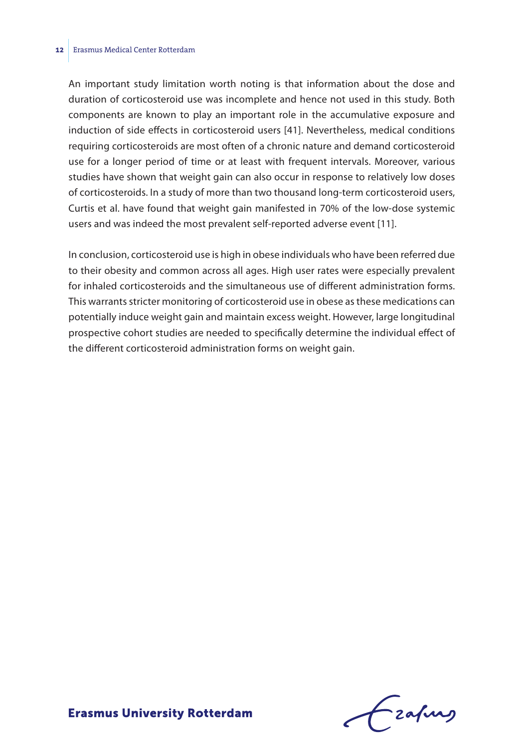#### **12** Erasmus Medical Center Rotterdam

An important study limitation worth noting is that information about the dose and duration of corticosteroid use was incomplete and hence not used in this study. Both components are known to play an important role in the accumulative exposure and induction of side effects in corticosteroid users [41]. Nevertheless, medical conditions requiring corticosteroids are most often of a chronic nature and demand corticosteroid use for a longer period of time or at least with frequent intervals. Moreover, various studies have shown that weight gain can also occur in response to relatively low doses of corticosteroids. In a study of more than two thousand long-term corticosteroid users, Curtis et al. have found that weight gain manifested in 70% of the low-dose systemic users and was indeed the most prevalent self-reported adverse event [11].

In conclusion, corticosteroid use is high in obese individuals who have been referred due to their obesity and common across all ages. High user rates were especially prevalent for inhaled corticosteroids and the simultaneous use of different administration forms. This warrants stricter monitoring of corticosteroid use in obese as these medications can potentially induce weight gain and maintain excess weight. However, large longitudinal prospective cohort studies are needed to specifically determine the individual effect of the different corticosteroid administration forms on weight gain.

frafing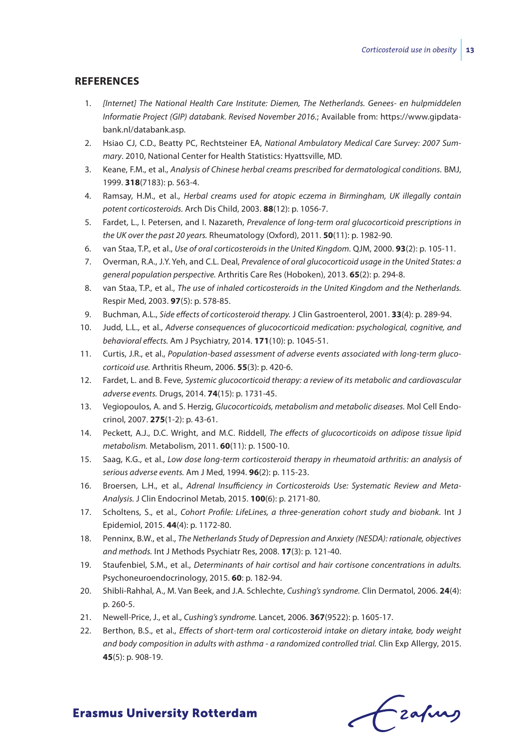## **References**

- 1. *[Internet] The National Health Care Institute: Diemen, The Netherlands. Genees- en hulpmiddelen Informatie Project (GIP) databank. Revised November 2016.*; Available from: https://www.gipdatabank.nl/databank.asp.
- 2. Hsiao CJ, C.D., Beatty PC, Rechtsteiner EA, *National Ambulatory Medical Care Survey: 2007 Summary*. 2010, National Center for Health Statistics: Hyattsville, MD.
- 3. Keane, F.M., et al., *Analysis of Chinese herbal creams prescribed for dermatological conditions.* BMJ, 1999. **318**(7183): p. 563-4.
- 4. Ramsay, H.M., et al., *Herbal creams used for atopic eczema in Birmingham, UK illegally contain potent corticosteroids.* Arch Dis Child, 2003. **88**(12): p. 1056-7.
- 5. Fardet, L., I. Petersen, and I. Nazareth, *Prevalence of long-term oral glucocorticoid prescriptions in the UK over the past 20 years.* Rheumatology (Oxford), 2011. **50**(11): p. 1982-90.
- 6. van Staa, T.P., et al., *Use of oral corticosteroids in the United Kingdom.* QJM, 2000. **93**(2): p. 105-11.
- 7. Overman, R.A., J.Y. Yeh, and C.L. Deal, *Prevalence of oral glucocorticoid usage in the United States: a general population perspective.* Arthritis Care Res (Hoboken), 2013. **65**(2): p. 294-8.
- 8. van Staa, T.P., et al., *The use of inhaled corticosteroids in the United Kingdom and the Netherlands.* Respir Med, 2003. **97**(5): p. 578-85.
- 9. Buchman, A.L., *Side effects of corticosteroid therapy.* J Clin Gastroenterol, 2001. **33**(4): p. 289-94.
- 10. Judd, L.L., et al., *Adverse consequences of glucocorticoid medication: psychological, cognitive, and behavioral effects.* Am J Psychiatry, 2014. **171**(10): p. 1045-51.
- 11. Curtis, J.R., et al., *Population-based assessment of adverse events associated with long-term glucocorticoid use.* Arthritis Rheum, 2006. **55**(3): p. 420-6.
- 12. Fardet, L. and B. Feve, *Systemic glucocorticoid therapy: a review of its metabolic and cardiovascular adverse events.* Drugs, 2014. **74**(15): p. 1731-45.
- 13. Vegiopoulos, A. and S. Herzig, *Glucocorticoids, metabolism and metabolic diseases.* Mol Cell Endocrinol, 2007. **275**(1-2): p. 43-61.
- 14. Peckett, A.J., D.C. Wright, and M.C. Riddell, *The effects of glucocorticoids on adipose tissue lipid metabolism.* Metabolism, 2011. **60**(11): p. 1500-10.
- 15. Saag, K.G., et al., *Low dose long-term corticosteroid therapy in rheumatoid arthritis: an analysis of serious adverse events.* Am J Med, 1994. **96**(2): p. 115-23.
- 16. Broersen, L.H., et al., *Adrenal Insufficiency in Corticosteroids Use: Systematic Review and Meta-Analysis.* J Clin Endocrinol Metab, 2015. **100**(6): p. 2171-80.
- 17. Scholtens, S., et al., *Cohort Profile: LifeLines, a three-generation cohort study and biobank.* Int J Epidemiol, 2015. **44**(4): p. 1172-80.
- 18. Penninx, B.W., et al., *The Netherlands Study of Depression and Anxiety (NESDA): rationale, objectives and methods.* Int J Methods Psychiatr Res, 2008. **17**(3): p. 121-40.
- 19. Staufenbiel, S.M., et al., *Determinants of hair cortisol and hair cortisone concentrations in adults.* Psychoneuroendocrinology, 2015. **60**: p. 182-94.
- 20. Shibli-Rahhal, A., M. Van Beek, and J.A. Schlechte, *Cushing's syndrome.* Clin Dermatol, 2006. **24**(4): p. 260-5.
- 21. Newell-Price, J., et al., *Cushing's syndrome.* Lancet, 2006. **367**(9522): p. 1605-17.
- 22. Berthon, B.S., et al., *Effects of short-term oral corticosteroid intake on dietary intake, body weight and body composition in adults with asthma - a randomized controlled trial.* Clin Exp Allergy, 2015. **45**(5): p. 908-19.

Czapurs